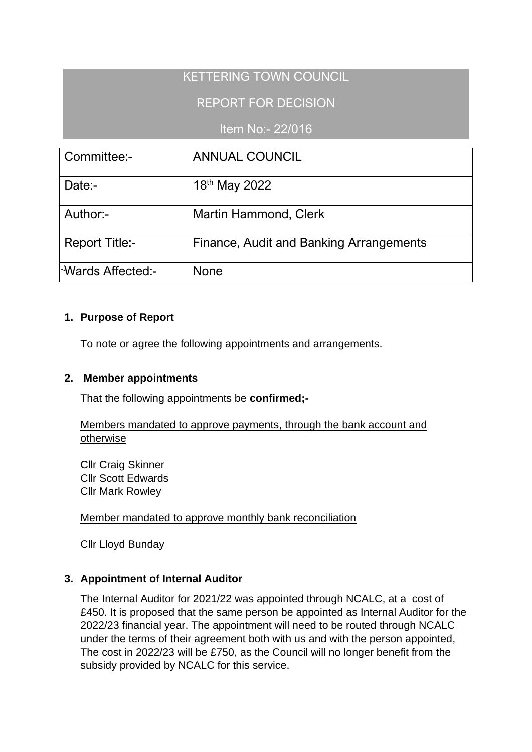# KETTERING TOWN COUNCIL

# REPORT FOR DECISION

## Item No:- 22/016

| Committee:-                     | <b>ANNUAL COUNCIL</b>                   |
|---------------------------------|-----------------------------------------|
| Date:-                          | 18th May 2022                           |
| Author:-                        | Martin Hammond, Clerk                   |
| <b>Report Title:-</b>           | Finance, Audit and Banking Arrangements |
| l <sup>-</sup> Wards Affected:- | None                                    |

### **1. Purpose of Report**

To note or agree the following appointments and arrangements.

#### **2. Member appointments**

That the following appointments be **confirmed;-**

#### Members mandated to approve payments, through the bank account and otherwise

Cllr Craig Skinner Cllr Scott Edwards Cllr Mark Rowley

#### Member mandated to approve monthly bank reconciliation

Cllr Lloyd Bunday

#### **3. Appointment of Internal Auditor**

The Internal Auditor for 2021/22 was appointed through NCALC, at a cost of £450. It is proposed that the same person be appointed as Internal Auditor for the 2022/23 financial year. The appointment will need to be routed through NCALC under the terms of their agreement both with us and with the person appointed, The cost in 2022/23 will be £750, as the Council will no longer benefit from the subsidy provided by NCALC for this service.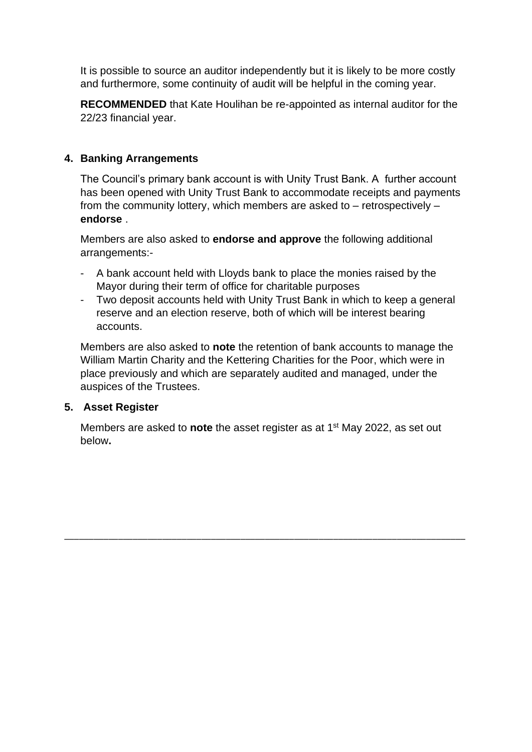It is possible to source an auditor independently but it is likely to be more costly and furthermore, some continuity of audit will be helpful in the coming year.

**RECOMMENDED** that Kate Houlihan be re-appointed as internal auditor for the 22/23 financial year.

### **4. Banking Arrangements**

The Council's primary bank account is with Unity Trust Bank. A further account has been opened with Unity Trust Bank to accommodate receipts and payments from the community lottery, which members are asked to – retrospectively – **endorse** .

Members are also asked to **endorse and approve** the following additional arrangements:-

- A bank account held with Lloyds bank to place the monies raised by the Mayor during their term of office for charitable purposes
- Two deposit accounts held with Unity Trust Bank in which to keep a general reserve and an election reserve, both of which will be interest bearing accounts.

Members are also asked to **note** the retention of bank accounts to manage the William Martin Charity and the Kettering Charities for the Poor, which were in place previously and which are separately audited and managed, under the auspices of the Trustees.

#### **5. Asset Register**

Members are asked to **note** the asset register as at 1st May 2022, as set out below**.** 

\_\_\_\_\_\_\_\_\_\_\_\_\_\_\_\_\_\_\_\_\_\_\_\_\_\_\_\_\_\_\_\_\_\_\_\_\_\_\_\_\_\_\_\_\_\_\_\_\_\_\_\_\_\_\_\_\_\_\_\_\_\_\_\_\_\_\_\_\_\_\_\_\_\_\_\_\_\_\_\_\_\_